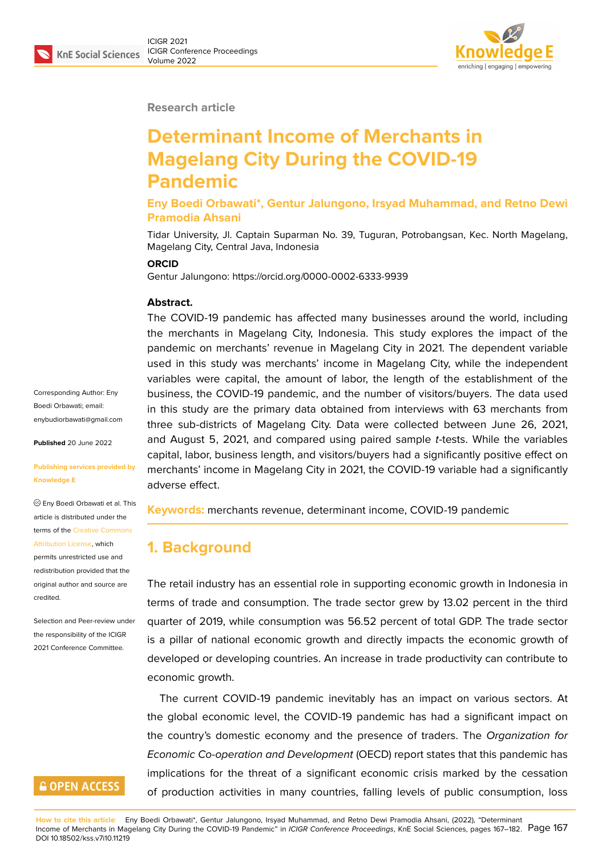

**Research article**

# **Determinant Income of Merchants in Magelang City During the COVID-19 Pandemic**

**Eny Boedi Orbawati\*, Gentur Jalungono, Irsyad Muhammad, and Retno Dewi Pramodia Ahsani**

Tidar University, Jl. Captain Suparman No. 39, Tuguran, Potrobangsan, Kec. North Magelang, Magelang City, Central Java, Indonesia

#### **ORCID**

Gentur Jalungono: https://orcid.org/0000-0002-6333-9939

#### **Abstract.**

The COVID-19 pandemic has affected many businesses around the world, including the merchants in Magelang City, Indonesia. This study explores the impact of the pandemic on merchants' revenue in Magelang City in 2021. The dependent variable used in this study was merchants' income in Magelang City, while the independent variables were capital, the amount of labor, the length of the establishment of the business, the COVID-19 pandemic, and the number of visitors/buyers. The data used in this study are the primary data obtained from interviews with 63 merchants from three sub-districts of Magelang City. Data were collected between June 26, 2021, and August 5, 2021, and compared using paired sample *t*-tests. While the variables capital, labor, business length, and visitors/buyers had a significantly positive effect on merchants' income in Magelang City in 2021, the COVID-19 variable had a significantly adverse effect.

**Keywords:** merchants revenue, determinant income, COVID-19 pandemic

# **1. Background**

The retail industry has an essential role in supporting economic growth in Indonesia in terms of trade and consumption. The trade sector grew by 13.02 percent in the third quarter of 2019, while consumption was 56.52 percent of total GDP. The trade sector is a pillar of national economic growth and directly impacts the economic growth of developed or developing countries. An increase in trade productivity can contribute to economic growth.

The current COVID-19 pandemic inevitably has an impact on various sectors. At the global economic level, the COVID-19 pandemic has had a significant impact on the country's domestic economy and the presence of traders. The *Organization for Economic Co-operation and Development* (OECD) report states that this pandemic has implications for the threat of a significant economic crisis marked by the cessation of production activities in many countries, falling levels of public consumption, loss

Attribution License, which permits unrestricted use and redistribution provided that the

Corresponding Author: Eny Boedi Orbawati; email: enybudiorbawati@gmail.com

**Published** 20 June 2022

**Knowledge E**

**[Publishing services provided](mailto:enybudiorbawati@gmail.com) by**

Eny Boedi Orbawati et al. This article is distributed under the terms of the Creative Commons

original auth[or and source are](https://creativecommons.org/licenses/by/4.0/) [credited.](https://creativecommons.org/licenses/by/4.0/)

Selection and Peer-review under the responsibility of the ICIGR 2021 Conference Committee.

# **GOPEN ACCESS**

**How to cite this article**: Eny Boedi Orbawati\*, Gentur Jalungono, Irsyad Muhammad, and Retno Dewi Pramodia Ahsani, (2022), "Determinant Income of Merchants in Magelang City During the COVID-19 Pandemic" in *ICIGR Conference Proceedings*, KnE Social Sciences, pages 167–182. Page 167 DOI 10.18502/kss.v7i10.11219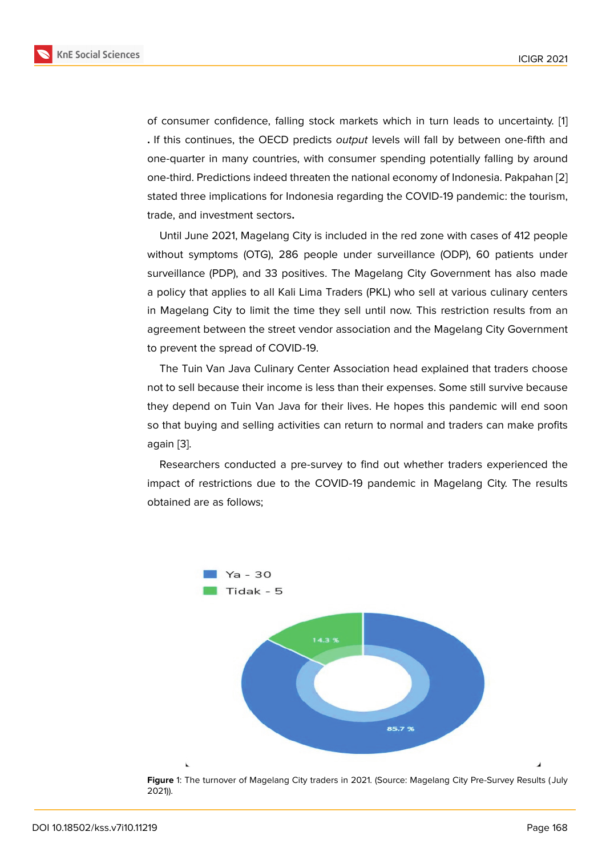of consumer confidence, falling stock markets which in turn leads to uncertainty. [1] **.** If this continues, the OECD predicts *output* levels will fall by between one-fifth and one-quarter in many countries, with consumer spending potentially falling by around one-third. Predictions indeed threaten the national economy of Indonesia. Pakpahan [[2\]](#page-14-0) stated three implications for Indonesia regarding the COVID-19 pandemic: the tourism, trade, and investment sectors**.**

Until June 2021, Magelang City is included in the red zone with cases of 412 peo[ple](#page-14-1) without symptoms (OTG), 286 people under surveillance (ODP), 60 patients under surveillance (PDP), and 33 positives. The Magelang City Government has also made a policy that applies to all Kali Lima Traders (PKL) who sell at various culinary centers in Magelang City to limit the time they sell until now. This restriction results from an agreement between the street vendor association and the Magelang City Government to prevent the spread of COVID-19.

The Tuin Van Java Culinary Center Association head explained that traders choose not to sell because their income is less than their expenses. Some still survive because they depend on Tuin Van Java for their lives. He hopes this pandemic will end soon so that buying and selling activities can return to normal and traders can make profits again [3].

Researchers conducted a pre-survey to find out whether traders experienced the impact of restrictions due to the COVID-19 pandemic in Magelang City. The results obtain[ed](#page-14-2) are as follows;



**Figure** 1: The turnover of Magelang City traders in 2021. (Source: Magelang City Pre-Survey Results ( July 2021)).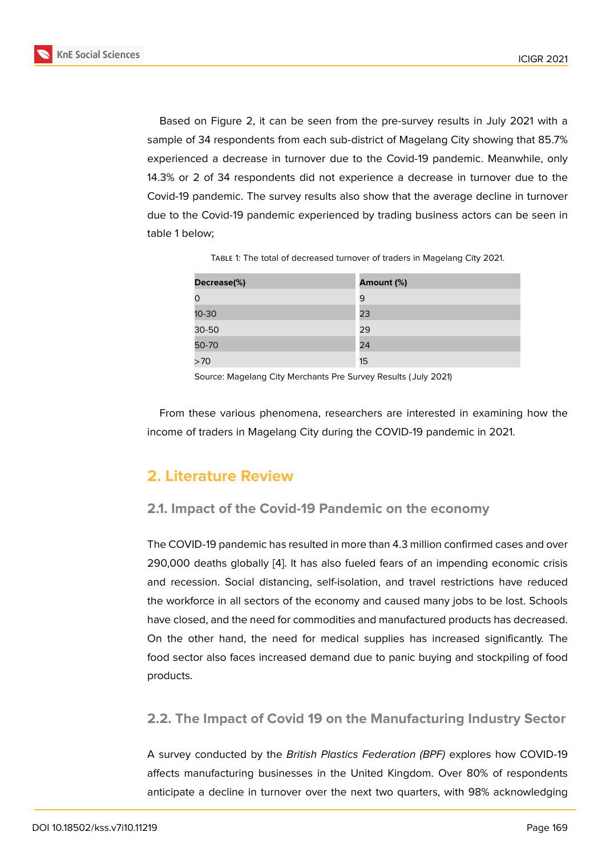Based on Figure 2, it can be seen from the pre-survey results in July 2021 with a sample of 34 respondents from each sub-district of Magelang City showing that 85.7% experienced a decrease in turnover due to the Covid-19 pandemic. Meanwhile, only 14.3% or 2 of 34 re[sp](#page-4-0)ondents did not experience a decrease in turnover due to the Covid-19 pandemic. The survey results also show that the average decline in turnover due to the Covid-19 pandemic experienced by trading business actors can be seen in table 1 below;

| Decrease(%) | Amount (%) |
|-------------|------------|
|             | 9          |
| $10 - 30$   | 23         |
| 30-50       | 29         |
| 50-70       | 24         |
| >70         | 15         |

Table 1: The total of decreased turnover of traders in Magelang City 2021.

Source: Magelang City Merchants Pre Survey Results ( July 2021)

From these various phenomena, researchers are interested in examining how the income of traders in Magelang City during the COVID-19 pandemic in 2021.

### **2. Literature Review**

#### **2.1. Impact of the Covid-19 Pandemic on the economy**

The COVID-19 pandemic has resulted in more than 4.3 million confirmed cases and over 290,000 deaths globally [4]. It has also fueled fears of an impending economic crisis and recession. Social distancing, self-isolation, and travel restrictions have reduced the workforce in all sectors of the economy and caused many jobs to be lost. Schools have closed, and the need [fo](#page-14-3)r commodities and manufactured products has decreased. On the other hand, the need for medical supplies has increased significantly. The food sector also faces increased demand due to panic buying and stockpiling of food products.

#### **2.2. The Impact of Covid 19 on the Manufacturing Industry Sector**

A survey conducted by the *British Plastics Federation (BPF)* explores how COVID-19 affects manufacturing businesses in the United Kingdom. Over 80% of respondents anticipate a decline in turnover over the next two quarters, with 98% acknowledging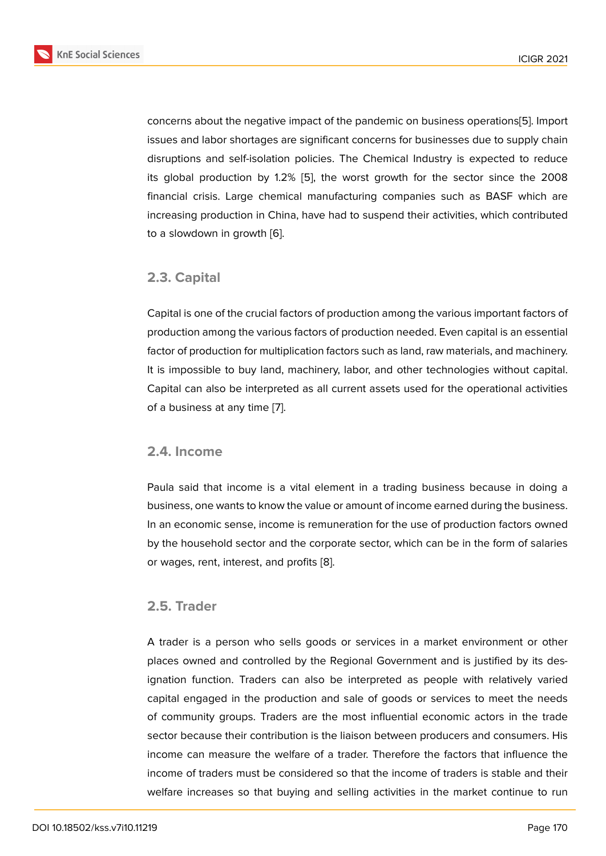concerns about the negative impact of the pandemic on business operations[5]. Import issues and labor shortages are significant concerns for businesses due to supply chain disruptions and self-isolation policies. The Chemical Industry is expected to reduce its global production by 1.2% [5], the worst growth for the sector since [th](#page-14-4)e 2008 financial crisis. Large chemical manufacturing companies such as BASF which are increasing production in China, have had to suspend their activities, which contributed to a slowdown in growth [6].

#### **2.3. Capital**

Capital is one of the crucial factors of production among the various important factors of production among the various factors of production needed. Even capital is an essential factor of production for multiplication factors such as land, raw materials, and machinery. It is impossible to buy land, machinery, labor, and other technologies without capital. Capital can also be interpreted as all current assets used for the operational activities of a business at any time [7].

#### **2.4. Income**

Paula said that income is a vital element in a trading business because in doing a business, one wants to know the value or amount of income earned during the business. In an economic sense, income is remuneration for the use of production factors owned by the household sector and the corporate sector, which can be in the form of salaries or wages, rent, interest, and profits [8].

#### **2.5. Trader**

A trader is a person who sells goods or services in a market environment or other places owned and controlled by the Regional Government and is justified by its designation function. Traders can also be interpreted as people with relatively varied capital engaged in the production and sale of goods or services to meet the needs of community groups. Traders are the most influential economic actors in the trade sector because their contribution is the liaison between producers and consumers. His income can measure the welfare of a trader. Therefore the factors that influence the income of traders must be considered so that the income of traders is stable and their welfare increases so that buying and selling activities in the market continue to run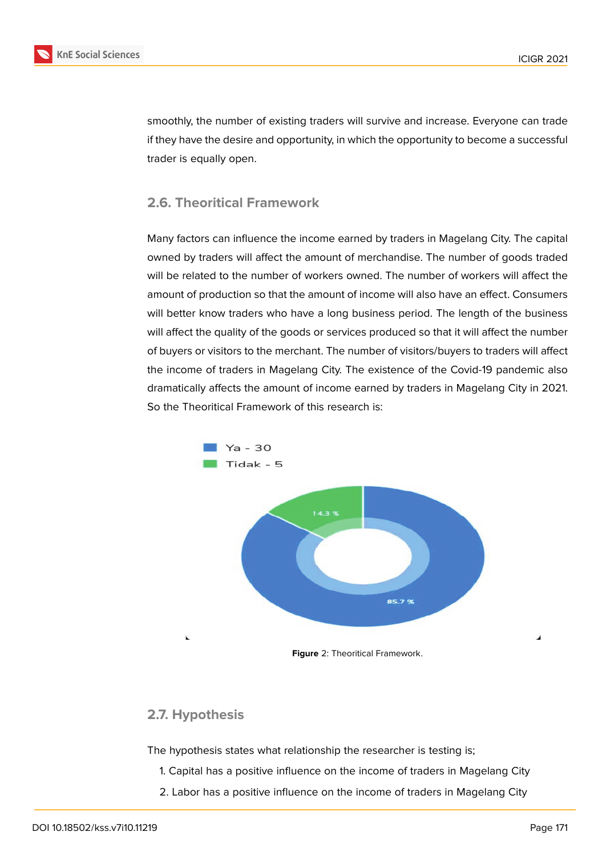

smoothly, the number of existing traders will survive and increase. Everyone can trade if they have the desire and opportunity, in which the opportunity to become a successful trader is equally open.

#### **2.6. Theoritical Framework**

Many factors can influence the income earned by traders in Magelang City. The capital owned by traders will affect the amount of merchandise. The number of goods traded will be related to the number of workers owned. The number of workers will affect the amount of production so that the amount of income will also have an effect. Consumers will better know traders who have a long business period. The length of the business will affect the quality of the goods or services produced so that it will affect the number of buyers or visitors to the merchant. The number of visitors/buyers to traders will affect the income of traders in Magelang City. The existence of the Covid-19 pandemic also dramatically affects the amount of income earned by traders in Magelang City in 2021. So the Theoritical Framework of this research is:



#### <span id="page-4-0"></span>**2.7. Hypothesis**

The hypothesis states what relationship the researcher is testing is;

- 1. Capital has a positive influence on the income of traders in Magelang City
- 2. Labor has a positive influence on the income of traders in Magelang City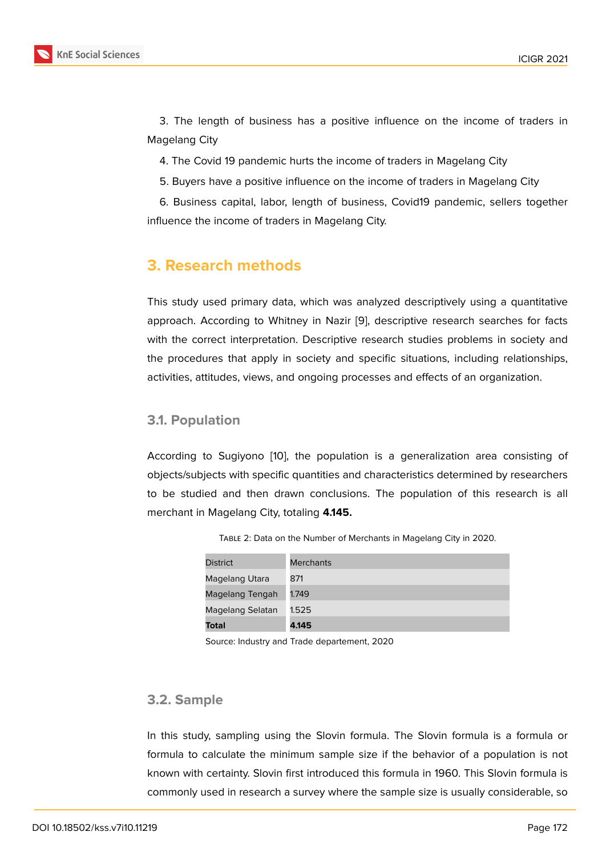3. The length of business has a positive influence on the income of traders in Magelang City

4. The Covid 19 pandemic hurts the income of traders in Magelang City

5. Buyers have a positive influence on the income of traders in Magelang City

6. Business capital, labor, length of business, Covid19 pandemic, sellers together influence the income of traders in Magelang City.

# **3. Research methods**

This study used primary data, which was analyzed descriptively using a quantitative approach. According to Whitney in Nazir [9], descriptive research searches for facts with the correct interpretation. Descriptive research studies problems in society and the procedures that apply in society and specific situations, including relationships, activities, attitudes, views, and ongoing pro[ce](#page-15-0)sses and effects of an organization.

#### **3.1. Population**

According to Sugiyono [10], the population is a generalization area consisting of objects/subjects with specific quantities and characteristics determined by researchers to be studied and then drawn conclusions. The population of this research is all merchant in Magelang Cit[y, t](#page-15-1)otaling **4.145.**

| <b>District</b>  | <b>Merchants</b> |
|------------------|------------------|
| Magelang Utara   | 871              |
| Magelang Tengah  | 1.749            |
| Magelang Selatan | 1.525            |
| <b>Total</b>     | 4.145            |

Table 2: Data on the Number of Merchants in Magelang City in 2020.

Source: Industry and Trade departement, 2020

#### **3.2. Sample**

In this study, sampling using the Slovin formula. The Slovin formula is a formula or formula to calculate the minimum sample size if the behavior of a population is not known with certainty. Slovin first introduced this formula in 1960. This Slovin formula is commonly used in research a survey where the sample size is usually considerable, so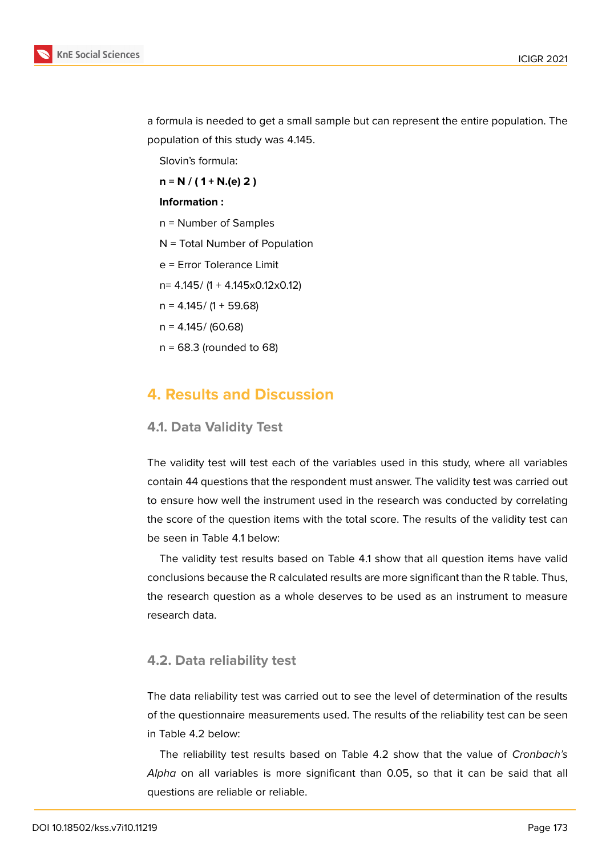

a formula is needed to get a small sample but can represent the entire population. The population of this study was 4.145.

Slovin's formula:

**n = N / ( 1 + N.(e) 2 )**

#### **Information :**

- n = Number of Samples
- N = Total Number of Population
- e = Error Tolerance Limit
- n= 4.145/ (1 + 4.145x0.12x0.12)
- $n = 4.145 / (1 + 59.68)$
- $n = 4.145 / (60.68)$
- $n = 68.3$  (rounded to 68)

## **4. Results and Discussion**

#### **4.1. Data Validity Test**

The validity test will test each of the variables used in this study, where all variables contain 44 questions that the respondent must answer. The validity test was carried out to ensure how well the instrument used in the research was conducted by correlating the score of the question items with the total score. The results of the validity test can be seen in Table 4.1 below:

The validity test results based on Table 4.1 show that all question items have valid conclusions because the R calculated results are more significant than the R table. Thus, the research question as a whole deserves to be used as an instrument to measure research data.

#### **4.2. Data reliability test**

The data reliability test was carried out to see the level of determination of the results of the questionnaire measurements used. The results of the reliability test can be seen in Table 4.2 below:

The reliability test results based on Table 4.2 show that the value of *Cronbach's Alpha* on all variables is more significant than 0.05, so that it can be said that all questions are reliable or reliable.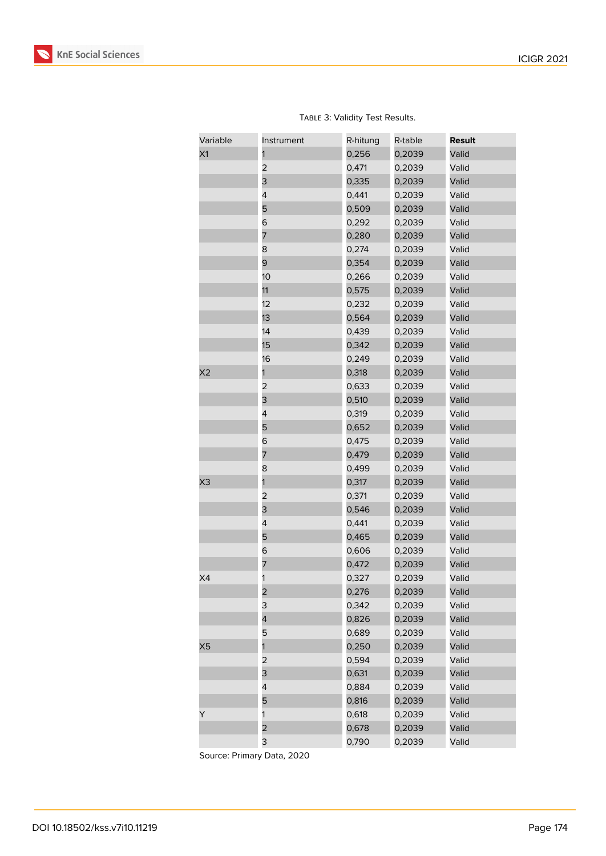

| Variable | Instrument              | R-hitung | R-table | <b>Result</b> |
|----------|-------------------------|----------|---------|---------------|
| X1       |                         | 0,256    | 0,2039  | Valid         |
|          | 2                       | 0,471    | 0,2039  | Valid         |
|          | 3                       | 0,335    | 0,2039  | Valid         |
|          | 4                       | 0,441    | 0,2039  | Valid         |
|          | 5                       | 0,509    | 0,2039  | Valid         |
|          | 6                       | 0,292    | 0,2039  | Valid         |
|          | 7                       | 0,280    | 0,2039  | Valid         |
|          | 8                       | 0,274    | 0,2039  | Valid         |
|          | 9                       | 0,354    | 0,2039  | Valid         |
|          | 10 <sup>1</sup>         | 0,266    | 0,2039  | Valid         |
|          | 11                      | 0,575    | 0,2039  | Valid         |
|          | 12                      | 0,232    | 0,2039  | Valid         |
|          | 13                      | 0,564    | 0,2039  | Valid         |
|          | 14                      | 0,439    | 0,2039  | Valid         |
|          | 15                      | 0,342    | 0,2039  | Valid         |
|          | 16                      | 0,249    | 0,2039  | Valid         |
| X2       | 1                       | 0,318    | 0,2039  | Valid         |
|          | $\overline{\mathbf{c}}$ | 0,633    | 0,2039  | Valid         |
|          | 3                       | 0,510    | 0,2039  | Valid         |
|          | 4                       | 0,319    | 0,2039  | Valid         |
|          | 5                       | 0,652    | 0,2039  | Valid         |
|          | 6                       | 0,475    | 0,2039  | Valid         |
|          | 7                       | 0,479    | 0,2039  | Valid         |
|          | 8                       | 0,499    | 0,2039  | Valid         |
| X3       | 1                       | 0,317    | 0,2039  | Valid         |
|          | $\overline{\mathbf{c}}$ | 0,371    | 0,2039  | Valid         |
|          | 3                       | 0,546    | 0,2039  | Valid         |
|          | 4                       | 0,441    | 0,2039  | Valid         |
|          | 5                       | 0,465    | 0,2039  | Valid         |
|          | 6                       | 0,606    | 0,2039  | Valid         |
|          | 7                       | 0,472    | 0,2039  | Valid         |
| X4       | 1                       | 0,327    | 0,2039  | Valid         |
|          | 2                       | 0,276    | 0,2039  | Valid         |
|          | 3                       | 0,342    | 0,2039  | Valid         |
|          | 4                       | 0,826    | 0,2039  | Valid         |
|          | 5                       | 0,689    | 0,2039  | Valid         |
| X5       | 1                       | 0,250    | 0,2039  | Valid         |
|          | 2                       | 0,594    | 0,2039  | Valid         |
|          | 3                       | 0,631    | 0,2039  | Valid         |
|          | 4                       | 0,884    | 0,2039  | Valid         |
|          | 5                       | 0,816    | 0,2039  | Valid         |
| Y        | 1                       | 0,618    | 0,2039  | Valid         |
|          | $\overline{\mathbf{c}}$ | 0,678    | 0,2039  | Valid         |
|          | 3                       | 0,790    | 0,2039  | Valid         |

TABLE 3: Validity Test Results.

Source: Primary Data, 2020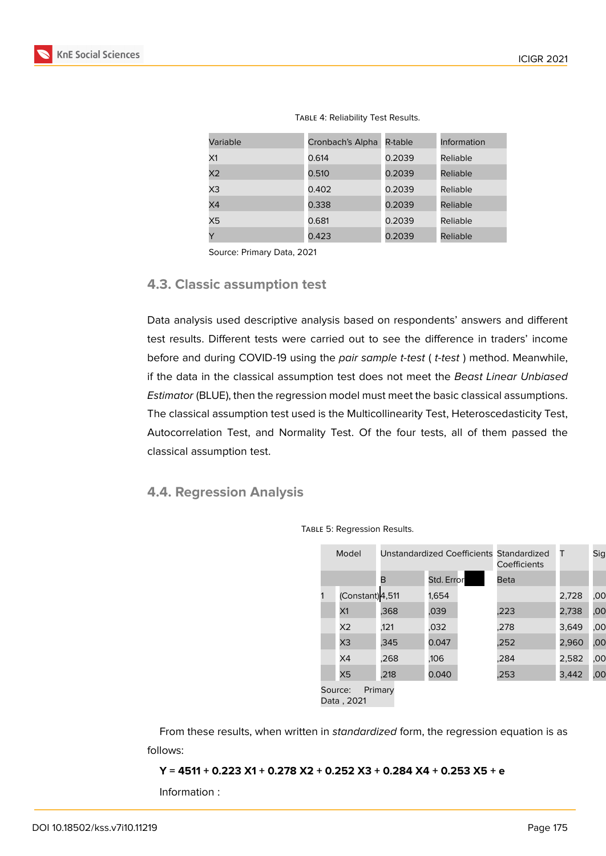| A.<br>$\overline{\mathcal{L}}$<br>× |  |
|-------------------------------------|--|
|                                     |  |

| Variable       | Cronbach's Alpha | R-table | Information |
|----------------|------------------|---------|-------------|
| X1             | 0.614            | 0.2039  | Reliable    |
| X <sub>2</sub> | 0.510            | 0.2039  | Reliable    |
| X3             | 0.402            | 0.2039  | Reliable    |
| X4             | 0.338            | 0.2039  | Reliable    |
| X5             | 0.681            | 0.2039  | Reliable    |
| Y              | 0.423            | 0.2039  | Reliable    |

Table 4: Reliability Test Results.

Source: Primary Data, 2021

#### **4.3. Classic assumption test**

Data analysis used descriptive analysis based on respondents' answers and different test results. Different tests were carried out to see the difference in traders' income before and during COVID-19 using the *pair sample t-test* ( *t-test* ) method. Meanwhile, if the data in the classical assumption test does not meet the *Beast Linear Unbiased Estimator* (BLUE), then the regression model must meet the basic classical assumptions. The classical assumption test used is the Multicollinearity Test, Heteroscedasticity Test, Autocorrelation Test, and Normality Test. Of the four tests, all of them passed the classical assumption test.

#### **4.4. Regression Analysis**

| Model   |                 | Unstandardized Coefficients Standardized | Coefficients | т    | Sig   |     |
|---------|-----------------|------------------------------------------|--------------|------|-------|-----|
|         |                 | в                                        | Std. Error   | Beta |       |     |
|         | (Constant)4,511 |                                          | 1,654        |      | 2,728 | ,00 |
|         | X1              | .368                                     | ,039         | ,223 | 2,738 | ,00 |
|         | X <sub>2</sub>  | .121                                     | ,032         | .278 | 3,649 | ,00 |
|         | X <sub>3</sub>  | .345                                     | 0.047        | .252 | 2,960 | ,00 |
|         | X4              | .268                                     | ,106         | .284 | 2,582 | ,00 |
|         | X5              | .218                                     | 0.040        | .253 | 3,442 | ,00 |
| Source: |                 | Primary                                  |              |      |       |     |

Table 5: Regression Results.

Data , 2021

From these results, when written in *standardized* form, the regression equation is as follows:

**Y = 4511 + 0.223 X1 + 0.278 X2 + 0.252 X3 + 0.284 X4 + 0.253 X5 + e**

Information :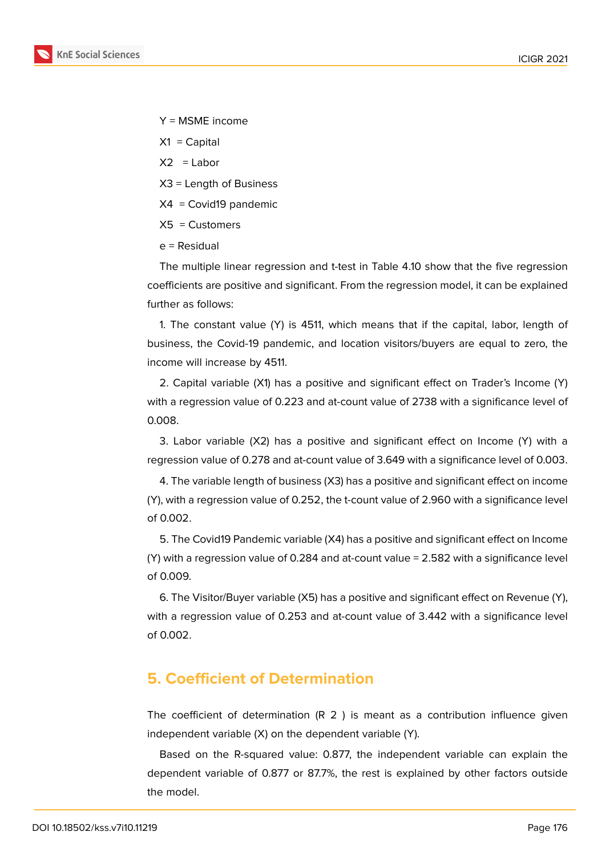

Y = MSME income

- $X1 =$ Capital
- $X2 =$ Labor
- X3 = Length of Business
- X4 = Covid19 pandemic
- $X5 =$  Customers
- e = Residual

The multiple linear regression and t-test in Table 4.10 show that the five regression coefficients are positive and significant. From the regression model, it can be explained further as follows:

1. The constant value (Y) is 4511, which means that if the capital, labor, length of business, the Covid-19 pandemic, and location visitors/buyers are equal to zero, the income will increase by 4511.

2. Capital variable (X1) has a positive and significant effect on Trader's Income (Y) with a regression value of 0.223 and at-count value of 2738 with a significance level of 0.008.

3. Labor variable (X2) has a positive and significant effect on Income (Y) with a regression value of 0.278 and at-count value of 3.649 with a significance level of 0.003.

4. The variable length of business (X3) has a positive and significant effect on income (Y), with a regression value of 0.252, the t-count value of 2.960 with a significance level of 0.002.

5. The Covid19 Pandemic variable (X4) has a positive and significant effect on Income (Y) with a regression value of 0.284 and at-count value = 2.582 with a significance level of 0.009.

6. The Visitor/Buyer variable (X5) has a positive and significant effect on Revenue (Y), with a regression value of 0.253 and at-count value of 3.442 with a significance level of 0.002.

# **5. Coefficient of Determination**

The coefficient of determination (R 2 ) is meant as a contribution influence given independent variable (X) on the dependent variable (Y).

Based on the R-squared value: 0.877, the independent variable can explain the dependent variable of 0.877 or 87.7%, the rest is explained by other factors outside the model.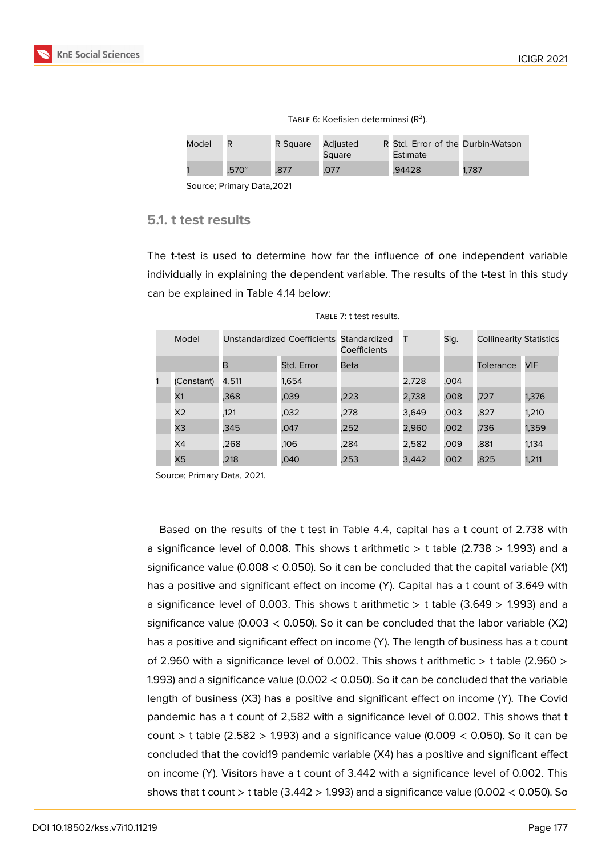

| Model |                   | R Square | Adjusted<br>Square | R Std. Error of the Durbin-Watson<br>Estimate |       |
|-------|-------------------|----------|--------------------|-----------------------------------------------|-------|
|       | .570 <sup>a</sup> | .877     | .077               | .94428                                        | 1.787 |

TABLE 6: Koefisien determinasi ( $R^2$ ).

Source; Primary Data,2021

#### **5.1. t test results**

The t-test is used to determine how far the influence of one independent variable individually in explaining the dependent variable. The results of the t-test in this study can be explained in Table 4.14 below:

| Model          | Unstandardized Coefficients Standardized |            | Coefficients | Т     | Sig. | <b>Collinearity Statistics</b> |       |
|----------------|------------------------------------------|------------|--------------|-------|------|--------------------------------|-------|
|                | в                                        | Std. Error | Beta         |       |      | Tolerance                      | VIF   |
| (Constant)     | 4.511                                    | 1.654      |              | 2,728 | .004 |                                |       |
| X1             | .368                                     | .039       | .223         | 2,738 | 800, | .727                           | 1,376 |
| X <sub>2</sub> | .121                                     | ,032       | .278         | 3,649 | .003 | .827                           | 1,210 |
| X3             | ,345                                     | .047       | .252         | 2,960 | ,002 | ,736                           | 1,359 |
| X4             | .268                                     | .106       | .284         | 2,582 | .009 | .881                           | 1,134 |
| X5             | .218                                     | .040       | .253         | 3,442 | .002 | .825                           | 1,211 |

Table 7: t test results.

Source; Primary Data, 2021.

Based on the results of the t test in Table 4.4, capital has a t count of 2.738 with a significance level of 0.008. This shows t arithmetic  $>$  t table (2.738  $>$  1.993) and a significance value (0.008 < 0.050). So it can be concluded that the capital variable (X1) has a positive and significant effect on income (Y). Capital has a t count of 3.649 with a significance level of 0.003. This shows t arithmetic  $>$  t table (3.649  $>$  1.993) and a significance value (0.003  $<$  0.050). So it can be concluded that the labor variable (X2) has a positive and significant effect on income (Y). The length of business has a t count of 2.960 with a significance level of 0.002. This shows t arithmetic  $>$  t table (2.960  $>$ 1.993) and a significance value (0.002 < 0.050). So it can be concluded that the variable length of business (X3) has a positive and significant effect on income (Y). The Covid pandemic has a t count of 2,582 with a significance level of 0.002. This shows that t count > t table ( $2.582$  > 1.993) and a significance value ( $0.009 < 0.050$ ). So it can be concluded that the covid19 pandemic variable (X4) has a positive and significant effect on income (Y). Visitors have a t count of 3.442 with a significance level of 0.002. This shows that t count  $>$  t table (3.442  $>$  1.993) and a significance value (0.002  $<$  0.050). So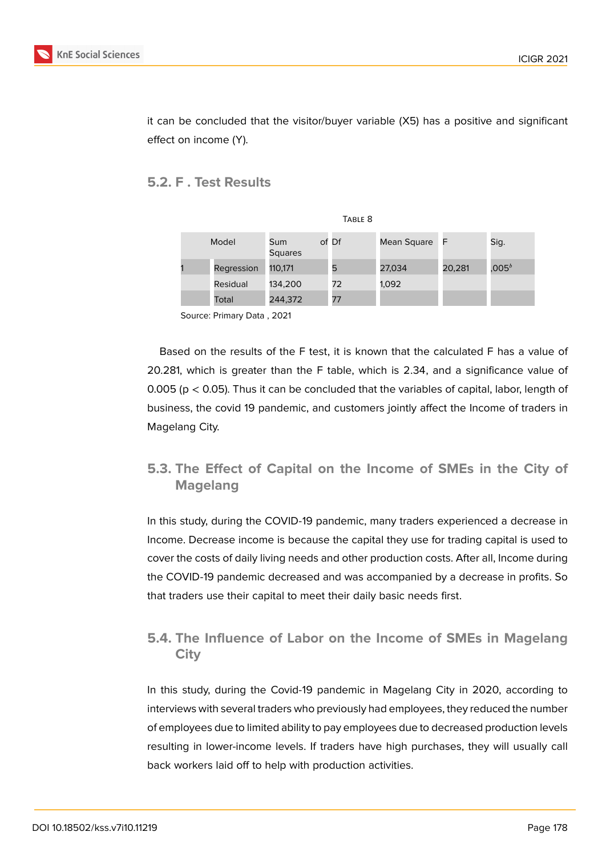

it can be concluded that the visitor/buyer variable (X5) has a positive and significant effect on income (Y).

### **5.2. F . Test Results**

| TABLE <sub>8</sub> |            |                       |       |             |        |           |  |
|--------------------|------------|-----------------------|-------|-------------|--------|-----------|--|
| Model              |            | Sum<br><b>Squares</b> | of Df | Mean Square | - F    | Sig.      |  |
|                    | Regression | 110,171               | 5     | 27,034      | 20,281 | ,005 $^b$ |  |
|                    | Residual   | 134,200               | 72    | 1,092       |        |           |  |
|                    | Total      | 244,372               | 77    |             |        |           |  |

Source: Primary Data , 2021

Based on the results of the F test, it is known that the calculated F has a value of 20.281, which is greater than the F table, which is 2.34, and a significance value of 0.005 ( $p < 0.05$ ). Thus it can be concluded that the variables of capital, labor, length of business, the covid 19 pandemic, and customers jointly affect the Income of traders in Magelang City.

# **5.3. The Effect of Capital on the Income of SMEs in the City of Magelang**

In this study, during the COVID-19 pandemic, many traders experienced a decrease in Income. Decrease income is because the capital they use for trading capital is used to cover the costs of daily living needs and other production costs. After all, Income during the COVID-19 pandemic decreased and was accompanied by a decrease in profits. So that traders use their capital to meet their daily basic needs first.

## **5.4. The Influence of Labor on the Income of SMEs in Magelang City**

In this study, during the Covid-19 pandemic in Magelang City in 2020, according to interviews with several traders who previously had employees, they reduced the number of employees due to limited ability to pay employees due to decreased production levels resulting in lower-income levels. If traders have high purchases, they will usually call back workers laid off to help with production activities.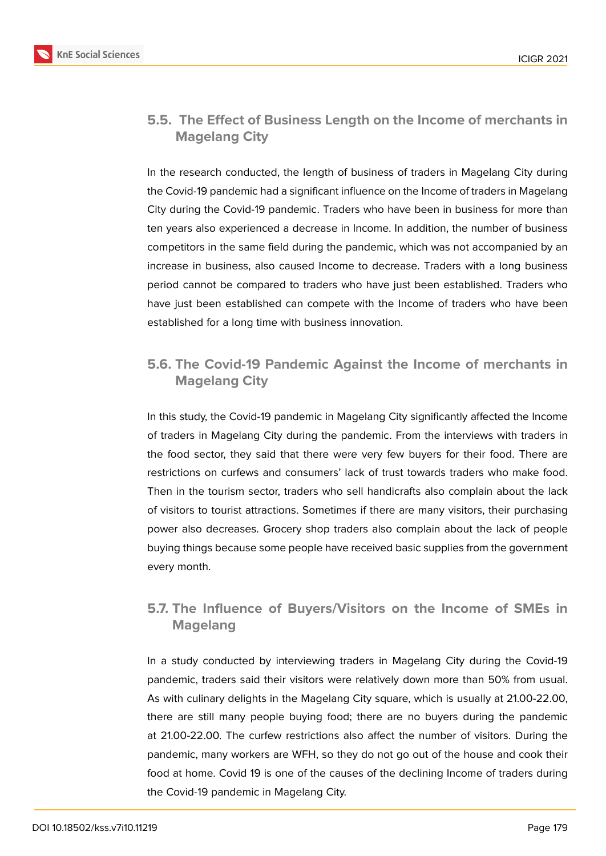

### **5.5. The Effect of Business Length on the Income of merchants in Magelang City**

In the research conducted, the length of business of traders in Magelang City during the Covid-19 pandemic had a significant influence on the Income of traders in Magelang City during the Covid-19 pandemic. Traders who have been in business for more than ten years also experienced a decrease in Income. In addition, the number of business competitors in the same field during the pandemic, which was not accompanied by an increase in business, also caused Income to decrease. Traders with a long business period cannot be compared to traders who have just been established. Traders who have just been established can compete with the Income of traders who have been established for a long time with business innovation.

# **5.6. The Covid-19 Pandemic Against the Income of merchants in Magelang City**

In this study, the Covid-19 pandemic in Magelang City significantly affected the Income of traders in Magelang City during the pandemic. From the interviews with traders in the food sector, they said that there were very few buyers for their food. There are restrictions on curfews and consumers' lack of trust towards traders who make food. Then in the tourism sector, traders who sell handicrafts also complain about the lack of visitors to tourist attractions. Sometimes if there are many visitors, their purchasing power also decreases. Grocery shop traders also complain about the lack of people buying things because some people have received basic supplies from the government every month.

# **5.7. The Influence of Buyers/Visitors on the Income of SMEs in Magelang**

In a study conducted by interviewing traders in Magelang City during the Covid-19 pandemic, traders said their visitors were relatively down more than 50% from usual. As with culinary delights in the Magelang City square, which is usually at 21.00-22.00, there are still many people buying food; there are no buyers during the pandemic at 21.00-22.00. The curfew restrictions also affect the number of visitors. During the pandemic, many workers are WFH, so they do not go out of the house and cook their food at home. Covid 19 is one of the causes of the declining Income of traders during the Covid-19 pandemic in Magelang City.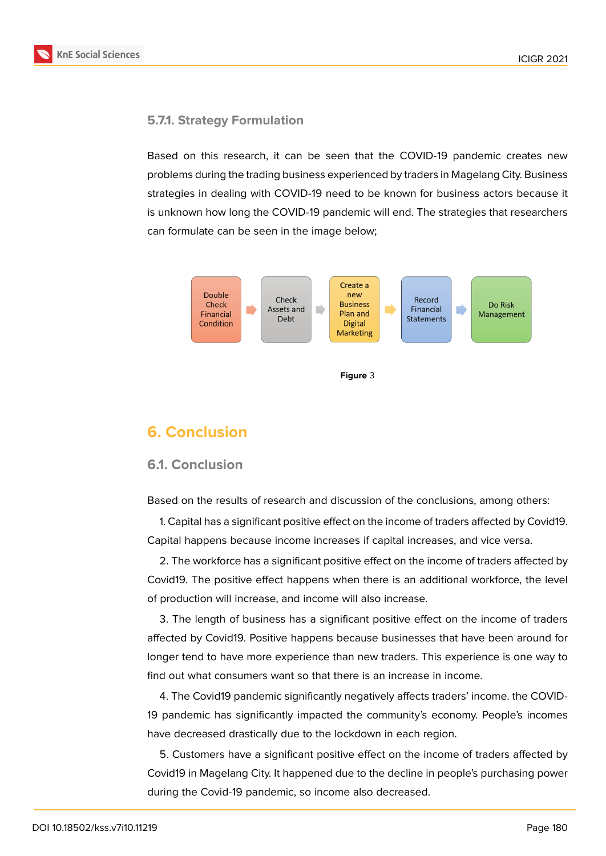

#### **5.7.1. Strategy Formulation**

Based on this research, it can be seen that the COVID-19 pandemic creates new problems during the trading business experienced by traders in Magelang City. Business strategies in dealing with COVID-19 need to be known for business actors because it is unknown how long the COVID-19 pandemic will end. The strategies that researchers can formulate can be seen in the image below;



# **6. Conclusion**

#### **6.1. Conclusion**

Based on the results of research and discussion of the conclusions, among others:

1. Capital has a significant positive effect on the income of traders affected by Covid19. Capital happens because income increases if capital increases, and vice versa.

2. The workforce has a significant positive effect on the income of traders affected by Covid19. The positive effect happens when there is an additional workforce, the level of production will increase, and income will also increase.

3. The length of business has a significant positive effect on the income of traders affected by Covid19. Positive happens because businesses that have been around for longer tend to have more experience than new traders. This experience is one way to find out what consumers want so that there is an increase in income.

4. The Covid19 pandemic significantly negatively affects traders' income. the COVID-19 pandemic has significantly impacted the community's economy. People's incomes have decreased drastically due to the lockdown in each region.

5. Customers have a significant positive effect on the income of traders affected by Covid19 in Magelang City. It happened due to the decline in people's purchasing power during the Covid-19 pandemic, so income also decreased.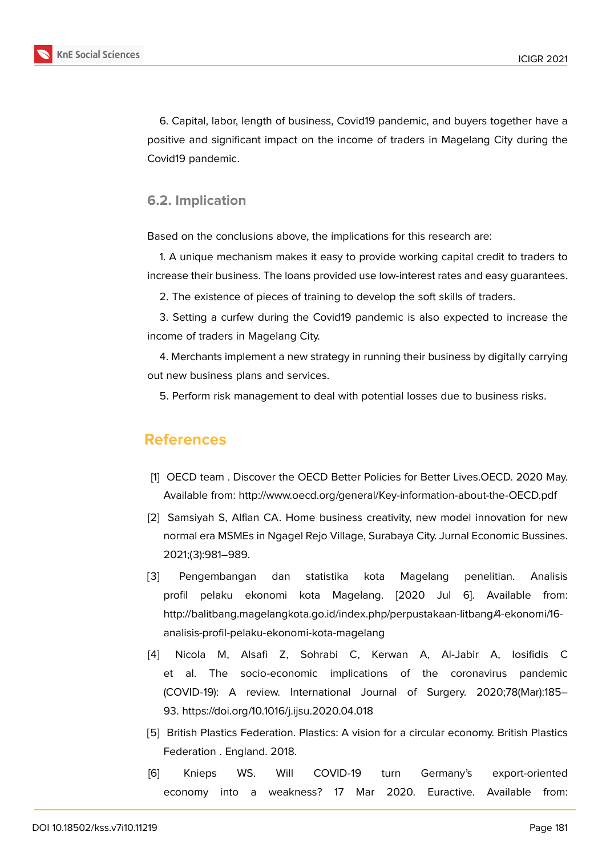

6. Capital, labor, length of business, Covid19 pandemic, and buyers together have a positive and significant impact on the income of traders in Magelang City during the Covid19 pandemic.

#### **6.2. Implication**

Based on the conclusions above, the implications for this research are:

1. A unique mechanism makes it easy to provide working capital credit to traders to increase their business. The loans provided use low-interest rates and easy guarantees.

2. The existence of pieces of training to develop the soft skills of traders.

3. Setting a curfew during the Covid19 pandemic is also expected to increase the income of traders in Magelang City.

4. Merchants implement a new strategy in running their business by digitally carrying out new business plans and services.

5. Perform risk management to deal with potential losses due to business risks.

## **References**

- <span id="page-14-0"></span>[1] OECD team. Discover the OECD Better Policies for Better Lives.OECD. 2020 May. Available from: http://www.oecd.org/general/Key-information-about-the-OECD.pdf
- <span id="page-14-1"></span>[2] Samsiyah S, Alfian CA. Home business creativity, new model innovation for new normal era MSMEs in Ngagel Rejo Village, Surabaya City. Jurnal Economic Bussines. 2021;(3):981–989.
- <span id="page-14-2"></span>[3] Pengembangan dan statistika kota Magelang penelitian. Analisis profil pelaku ekonomi kota Magelang. [2020 Jul 6]. Available from: http://balitbang.magelangkota.go.id/index.php/perpustakaan-litbang/4-ekonomi/16 analisis-profil-pelaku-ekonomi-kota-magelang
- <span id="page-14-3"></span>[4] Nicola M, Alsafi Z, Sohrabi C, Kerwan A, Al-Jabir A, Iosifidis C et al. The socio-economic implications of the coronavirus pandemic (COVID-19): A review. International Journal of Surgery. 2020;78(Mar):185– 93. https://doi.org/10.1016/j.ijsu.2020.04.018
- <span id="page-14-4"></span>[5] British Plastics Federation. Plastics: A vision for a circular economy. British Plastics Federation . England. 2018.
- [6] Knieps WS. Will COVID-19 turn Germany's export-oriented economy into a weakness? 17 Mar 2020. Euractive. Available from: